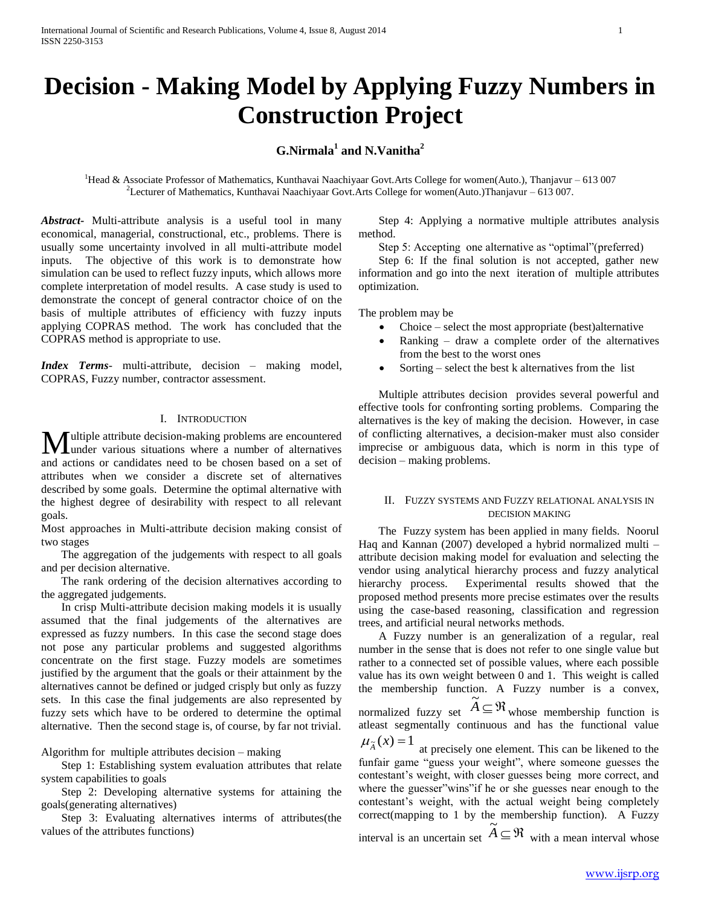# **Decision - Making Model by Applying Fuzzy Numbers in Construction Project**

## **G.Nirmala<sup>1</sup> and N.Vanitha<sup>2</sup>**

<sup>1</sup>Head & Associate Professor of Mathematics, Kunthavai Naachiyaar Govt.Arts College for women(Auto.), Thanjavur – 613 007 <sup>2</sup>Lecturer of Mathematics, Kunthavai Naachiyaar Govt.Arts College for women(Auto.)Thanjavur – 613 007.

*Abstract***-** Multi-attribute analysis is a useful tool in many economical, managerial, constructional, etc., problems. There is usually some uncertainty involved in all multi-attribute model inputs. The objective of this work is to demonstrate how simulation can be used to reflect fuzzy inputs, which allows more complete interpretation of model results. A case study is used to demonstrate the concept of general contractor choice of on the basis of multiple attributes of efficiency with fuzzy inputs applying COPRAS method. The work has concluded that the COPRAS method is appropriate to use.

*Index Terms*- multi-attribute, decision – making model, COPRAS, Fuzzy number, contractor assessment.

#### I. INTRODUCTION

ultiple attribute decision-making problems are encountered **M** ultiple attribute decision-making problems are encountered under various situations where a number of alternatives and actions or candidates need to be chosen based on a set of attributes when we consider a discrete set of alternatives described by some goals. Determine the optimal alternative with the highest degree of desirability with respect to all relevant goals.

Most approaches in Multi-attribute decision making consist of two stages

 The aggregation of the judgements with respect to all goals and per decision alternative.

 The rank ordering of the decision alternatives according to the aggregated judgements.

 In crisp Multi-attribute decision making models it is usually assumed that the final judgements of the alternatives are expressed as fuzzy numbers. In this case the second stage does not pose any particular problems and suggested algorithms concentrate on the first stage. Fuzzy models are sometimes justified by the argument that the goals or their attainment by the alternatives cannot be defined or judged crisply but only as fuzzy sets. In this case the final judgements are also represented by fuzzy sets which have to be ordered to determine the optimal alternative. Then the second stage is, of course, by far not trivial.

Algorithm for multiple attributes decision – making

 Step 1: Establishing system evaluation attributes that relate system capabilities to goals

 Step 2: Developing alternative systems for attaining the goals(generating alternatives)

 Step 3: Evaluating alternatives interms of attributes(the values of the attributes functions)

 Step 4: Applying a normative multiple attributes analysis method.

Step 5: Accepting one alternative as "optimal"(preferred)

 Step 6: If the final solution is not accepted, gather new information and go into the next iteration of multiple attributes optimization.

The problem may be

- Choice select the most appropriate (best)alternative
- Ranking draw a complete order of the alternatives from the best to the worst ones
- Sorting select the best k alternatives from the list

 Multiple attributes decision provides several powerful and effective tools for confronting sorting problems. Comparing the alternatives is the key of making the decision. However, in case of conflicting alternatives, a decision-maker must also consider imprecise or ambiguous data, which is norm in this type of decision – making problems.

### II. FUZZY SYSTEMS AND FUZZY RELATIONAL ANALYSIS IN DECISION MAKING

 The Fuzzy system has been applied in many fields. Noorul Haq and Kannan (2007) developed a hybrid normalized multi – attribute decision making model for evaluation and selecting the vendor using analytical hierarchy process and fuzzy analytical hierarchy process. Experimental results showed that the proposed method presents more precise estimates over the results using the case-based reasoning, classification and regression trees, and artificial neural networks methods.

 A Fuzzy number is an generalization of a regular, real number in the sense that is does not refer to one single value but rather to a connected set of possible values, where each possible value has its own weight between 0 and 1. This weight is called the membership function. A Fuzzy number is a convex, normalized fuzzy set  $\widetilde{A} \subseteq \mathfrak{R}$ whose membership function is atleast segmentally continuous and has the functional value  $\mu_{\tilde{A}}(x) = 1$ 

at precisely one element. This can be likened to the funfair game "guess your weight", where someone guesses the contestant's weight, with closer guesses being more correct, and where the guesser"wins"if he or she guesses near enough to the contestant's weight, with the actual weight being completely correct(mapping to 1 by the membership function). A Fuzzy interval is an uncertain set  $\widetilde{A} \subseteq \mathfrak{R}$ 

with a mean interval whose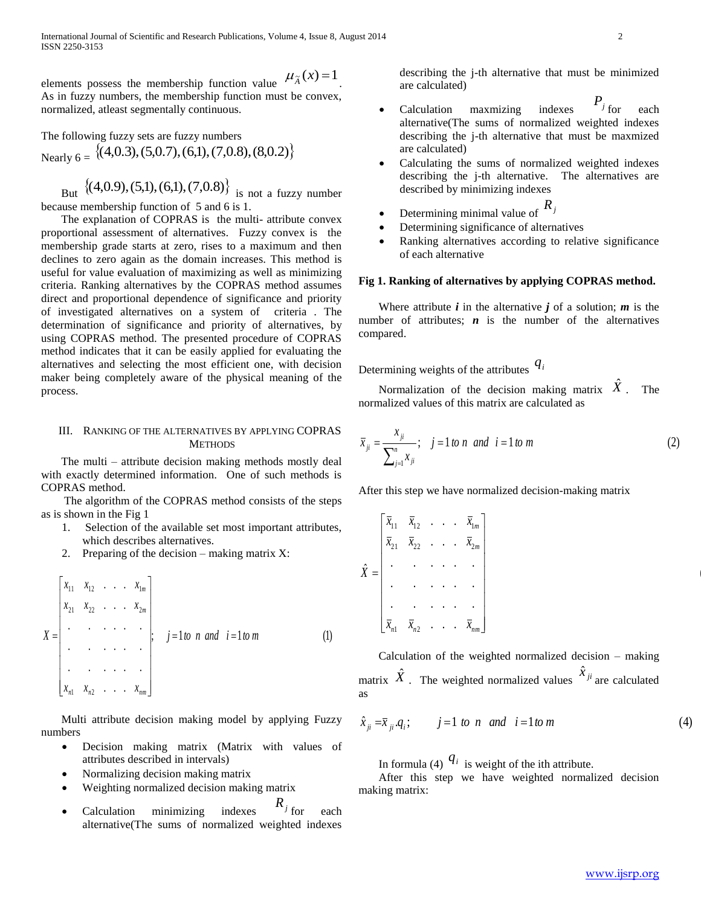elements possess the membership function value  $\mu_{\tilde{A}}(x) = 1$ . As in fuzzy numbers, the membership function must be convex, normalized, atleast segmentally continuous.

The following fuzzy sets are fuzzy numbers Nearly  $6 = \{(4, 0.3), (5, 0.7), (6, 1), (7, 0.8), (8, 0.2)\}\$ 

But  $\{(4,0.9), (5,1), (6,1), (7,0.8)\}$  is not a fuzzy number because membership function of 5 and 6 is 1.

 The explanation of COPRAS is the multi- attribute convex proportional assessment of alternatives. Fuzzy convex is the membership grade starts at zero, rises to a maximum and then declines to zero again as the domain increases. This method is useful for value evaluation of maximizing as well as minimizing criteria. Ranking alternatives by the COPRAS method assumes direct and proportional dependence of significance and priority of investigated alternatives on a system of criteria . The determination of significance and priority of alternatives, by using COPRAS method. The presented procedure of COPRAS method indicates that it can be easily applied for evaluating the alternatives and selecting the most efficient one, with decision maker being completely aware of the physical meaning of the process.

## III. RANKING OF THE ALTERNATIVES BY APPLYING COPRAS **METHODS**

 The multi – attribute decision making methods mostly deal with exactly determined information. One of such methods is COPRAS method.

 The algorithm of the COPRAS method consists of the steps as is shown in the Fig 1

- 1. Selection of the available set most important attributes, which describes alternatives.
- 2. Preparing of the decision making matrix X:

$$
X = \begin{bmatrix} x_{11} & x_{12} & \cdots & x_{1m} \\ x_{21} & x_{22} & \cdots & x_{2m} \\ \vdots & \vdots & \ddots & \vdots \\ x_{n1} & x_{n2} & \cdots & x_{nm} \end{bmatrix}; \quad j = 1 \text{ to } n \text{ and } i = 1 \text{ to } m \tag{1}
$$

 Multi attribute decision making model by applying Fuzzy numbers

- Decision making matrix (Matrix with values of attributes described in intervals)
- Normalizing decision making matrix
- Weighting normalized decision making matrix
- Calculation minimizing indexes  $R_j$ <sub>for</sub> each alternative(The sums of normalized weighted indexes

describing the j-th alternative that must be minimized are calculated)

- Calculation maxmizing indexes  $P_j$ <sub>for</sub> each alternative(The sums of normalized weighted indexes describing the j-th alternative that must be maxmized are calculated)
- Calculating the sums of normalized weighted indexes describing the j-th alternative. The alternatives are described by minimizing indexes
- Determining minimal value of  $R_j$
- Determining significance of alternatives
- Ranking alternatives according to relative significance of each alternative

## **Fig 1. Ranking of alternatives by applying COPRAS method.**

Where attribute  $i$  in the alternative  $j$  of a solution;  $m$  is the number of attributes;  $n$  is the number of the alternatives compared.

Determining weights of the attributes *qi*

Normalization of the decision making matrix  $\hat{X}$ . The normalized values of this matrix are calculated as

$$
\bar{x}_{ji} = \frac{x_{ji}}{\sum_{j=1}^{n} x_{ji}}; \quad j = 1 \text{ to } n \text{ and } i = 1 \text{ to } m
$$
 (2)

After this step we have normalized decision-making matrix

. . . . . . . . . . . . . . . . . . . . . . . .  $\begin{bmatrix} \bar{x}_{11} & \bar{x}_{12} & \cdots & \bar{x}_{1m} \end{bmatrix}$ ˆ 1  $\frac{m}{2}$  $\frac{11}{21}$   $\frac{x_{12}}{x_{22}}$   $\cdots$   $\frac{x_{1n}}{x_{2n}}$  $\overline{\phantom{a}}$  $\overline{\phantom{a}}$  $\overline{\phantom{a}}$  $\overline{\phantom{a}}$  $\overline{\phantom{a}}$  $\overline{\phantom{a}}$  $\overline{\phantom{a}}$  $\overline{\phantom{a}}$  $\begin{bmatrix} x_{n1} & x_{n2} & \cdots & x_{nm} \end{bmatrix}$  $\mathbf{r}$  $\mathbf{r}$  $\mathbf{r}$  $\mathbf{r}$  $\mathbf{r}$  $\mathsf{I}$  .  $\mathbf{L}$ Ŀ  $=$  $\overline{x}_{n1}$   $\overline{x}_{n2}$   $\overline{x}_{nm}$ *m m*  $\overline{x}_{n1}$   $\overline{x}_{n2}$   $\overline{x}_{n3}$   $\overline{x}_{n3}$  $\overline{x}_{21}$   $\overline{x}_{22}$   $\overline{x}_{33}$   $\overline{x}_{33}$ *X*

 Calculation of the weighted normalized decision – making matrix  $\hat{X}$ . The weighted normalized values  $\hat{X}_{ji}$  are calculated as

$$
\hat{x}_{ji} = \bar{x}_{ji}.q_i; \qquad j = 1 \text{ to } n \text{ and } i = 1 \text{ to } m \tag{4}
$$

In formula (4)  $q_i$  is weight of the ith attribute.

 After this step we have weighted normalized decision making matrix: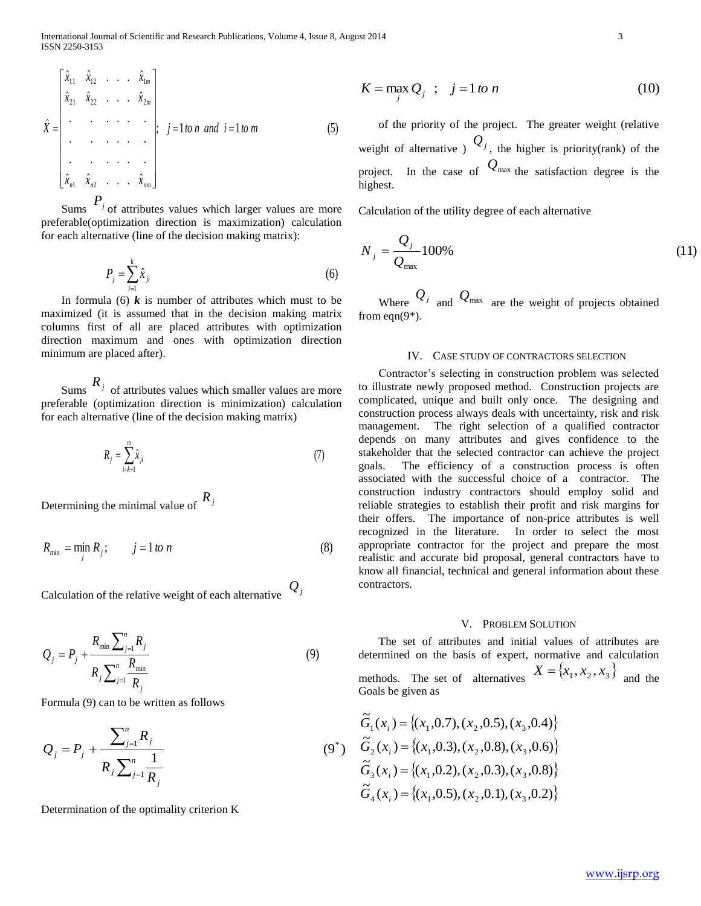$$
\hat{X} = \begin{bmatrix} \hat{x}_{11} & \hat{x}_{12} & \dots & \hat{x}_{1m} \\ \hat{x}_{21} & \hat{x}_{22} & \dots & \hat{x}_{2m} \\ \vdots & \vdots & \ddots & \vdots \\ \vdots & \vdots & \ddots & \vdots \\ \vdots & \vdots & \ddots & \vdots \\ \hat{x}_{n1} & \hat{x}_{n2} & \dots & \hat{x}_{nm} \end{bmatrix}; j = 1 \text{ to } n \text{ and } i = 1 \text{ to } m
$$
 (5)

Sums  $P_j$  of attributes values which larger values are more preferable(optimization direction is maximization) calculation for each alternative (line of the decision making matrix):

$$
P_j = \sum_{i=1}^{k} \hat{x}_{ji}
$$
 (6)

In formula (6)  $\boldsymbol{k}$  is number of attributes which must to be maximized (it is assumed that in the decision making matrix columns first of all are placed attributes with optimization direction maximum and ones with optimization direction minimum are placed after).

 $R_j$  of attributes values which smaller values are more preferable (optimization direction is minimization) calculation for each alternative (line of the decision making matrix)

$$
R_j = \sum_{i=k+1}^m \hat{x}_{ji} \tag{7}
$$

Determining the minimal value of *Rj*

$$
R_{\min} = \min_{j} R_j; \qquad j = 1 \text{ to } n \tag{8}
$$

Calculation of the relative weight of each alternative *Qj*

$$
Q_{j} = P_{j} + \frac{R_{\min} \sum_{j=1}^{n} R_{j}}{R_{j} \sum_{j=1}^{n} \frac{R_{\min}}{R_{j}}}
$$
(9)

Formula (9) can to be written as follows

$$
Q_{j} = P_{j} + \frac{\sum_{j=1}^{n} R_{j}}{R_{j} \sum_{j=1}^{n} \frac{1}{R_{j}}}
$$
(9\*)

Determination of the optimality criterion K

$$
K = \max_{j} Q_j \quad ; \quad j = 1 \text{ to } n \tag{10}
$$

 of the priority of the project. The greater weight (relative weight of alternative  $\int_{a}^{b} Q_j$ , the higher is priority(rank) of the project. In the case of  $Q_{\text{max}}$  the satisfaction degree is the highest.

Calculation of the utility degree of each alternative

$$
N_{j} = \frac{Q_{j}}{Q_{\text{max}}} 100\%
$$
 (11)

Where  $Q_j$  and  $Q_{\text{max}}$  are the weight of projects obtained from eqn(9\*).

#### IV. CASE STUDY OF CONTRACTORS SELECTION

 Contractor's selecting in construction problem was selected to illustrate newly proposed method. Construction projects are complicated, unique and built only once. The designing and construction process always deals with uncertainty, risk and risk management. The right selection of a qualified contractor depends on many attributes and gives confidence to the stakeholder that the selected contractor can achieve the project goals. The efficiency of a construction process is often associated with the successful choice of a contractor. The construction industry contractors should employ solid and reliable strategies to establish their profit and risk margins for their offers. The importance of non-price attributes is well recognized in the literature. In order to select the most appropriate contractor for the project and prepare the most realistic and accurate bid proposal, general contractors have to know all financial, technical and general information about these contractors.

#### V. PROBLEM SOLUTION

 The set of attributes and initial values of attributes are determined on the basis of expert, normative and calculation methods. The set of alternatives  $X = \{x_1, x_2, x_3\}$  and the Goals be given as

$$
\widetilde{G}_1(x_i) = \{(x_1, 0.7), (x_2, 0.5), (x_3, 0.4)\}\
$$

$$
\widetilde{G}_2(x_i) = \{(x_1, 0.3), (x_2, 0.8), (x_3, 0.6)\}\
$$

$$
\widetilde{G}_3(x_i) = \{(x_1, 0.2), (x_2, 0.3), (x_3, 0.8)\}\
$$

$$
\widetilde{G}_4(x_i) = \{(x_1, 0.5), (x_2, 0.1), (x_3, 0.2)\}
$$